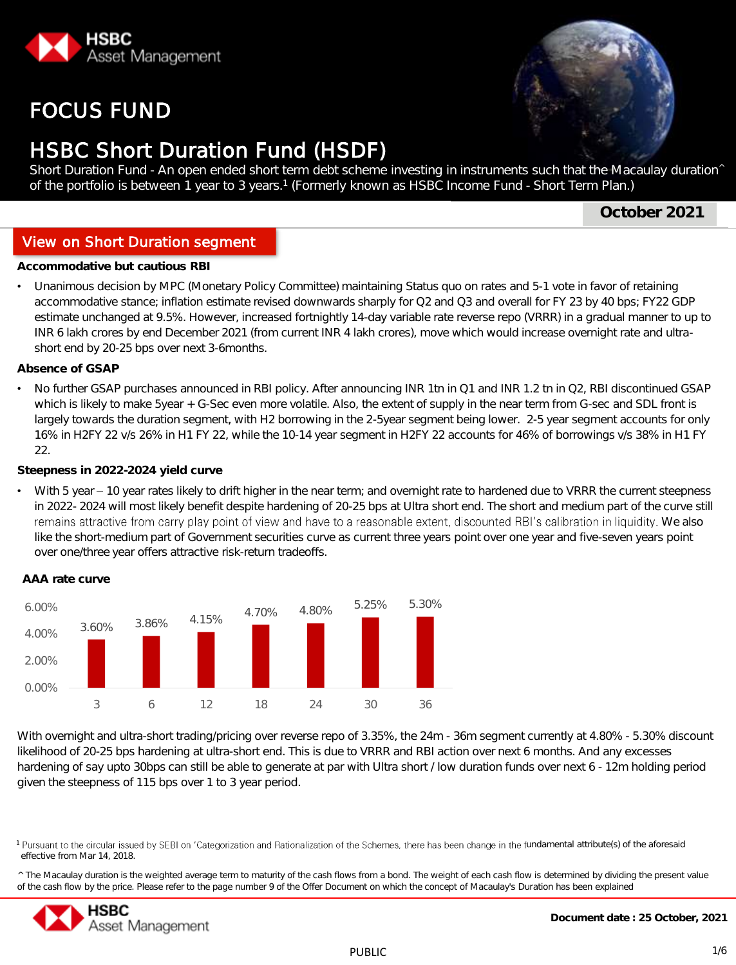

# FOCUS FUND



# **HSBC Short Duration Fund (HSDF)**

Short Duration Fund - An open ended short term debt scheme investing in instruments such that the Macaulay duration^ of the portfolio is between 1 year to 3 years. 1 (Formerly known as HSBC Income Fund - Short Term Plan.)

**October 2021**

# View on Short Duration segment

**Investment Objective** But cautious RBI

• Unanimous decision by MPC (Monetary Policy Committee) maintaining Status quo on rates and 5-1 vote in favor of retaining accommodative stance; inflation estimate revised downwards sharply for Q2 and Q3 and overall for FY 23 by 40 bps; FY22 GDP estimate unchanged at 9.5%. However, increased fortnightly 14-day variable rate reverse repo (VRRR) in a gradual manner to up to INR 6 lakh crores by end December 2021 (from current INR 4 lakh crores), move which would increase overnight rate and ultrashort end by 20-25 bps over next 3-6months.

**Absence of GSAP**

No further GSAP purchases announced in RBI policy. After announcing INR 1tn in Q1 and INR 1.2 tn in Q2, RBI discontinued GSAP which is likely to make 5year + G-Sec even more volatile. Also, the extent of supply in the near term from G-sec and SDL front is largely towards the duration segment, with H2 borrowing in the 2-5year segment being lower. 2-5 year segment accounts for only 16% in H2FY 22 v/s 26% in H1 FY 22, while the 10-14 year segment in H2FY 22 accounts for 46% of borrowings v/s 38% in H1 FY 22.

### **Steepness in 2022-2024 yield curve**

With 5 year - 10 year rates likely to drift higher in the near term; and overnight rate to hardened due to VRRR the current steepness in 2022- 2024 will most likely benefit despite hardening of 20-25 bps at Ultra short end. The short and medium part of the curve still remains attractive from carry play point of view and have to a reasonable extent, discounted RBI's calibration in liquidity. We also like the short-medium part of Government securities curve as current three years point over one year and five-seven years point over one/three year offers attractive risk-return tradeoffs.



**AAA rate curve**

With overnight and ultra-short trading/pricing over reverse repo of 3.35%, the 24m - 36m segment currently at 4.80% - 5.30% discount likelihood of 20-25 bps hardening at ultra-short end. This is due to VRRR and RBI action over next 6 months. And any excesses hardening of say upto 30bps can still be able to generate at par with Ultra short / low duration funds over next 6 - 12m holding period given the steepness of 115 bps over 1 to 3 year period.

<sup>^</sup> The Macaulay duration is the weighted average term to maturity of the cash flows from a bond. The weight of each cash flow is determined by dividing the present value of the cash flow by the price. Please refer to the page number 9 of the Offer Document on which the concept of Macaulay's Duration has been explained



<sup>&</sup>lt;sup>1</sup> Pursuant to the circular issued by SEBI on 'Categorization and Rationalization of the Schemes, there has been change in the fundamental attribute(s) of the aforesaid effective from Mar 14, 2018.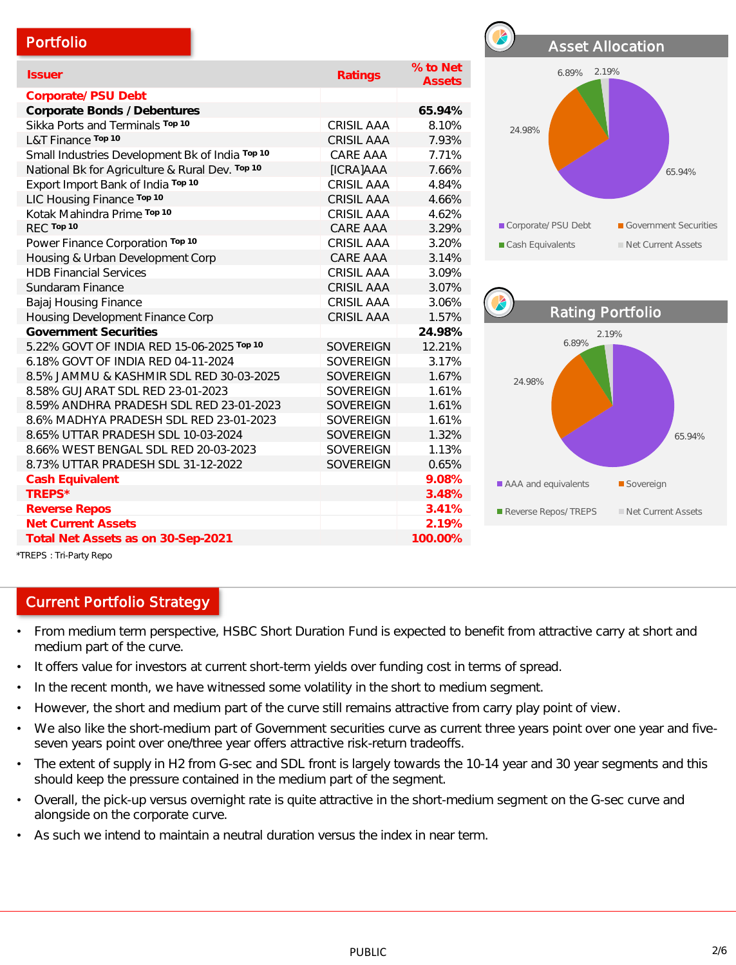| Portfolio                                       |                   |                           |                         | <b>Asset Allocation</b> |
|-------------------------------------------------|-------------------|---------------------------|-------------------------|-------------------------|
| <b>Issuer</b>                                   | Ratings           | % to Net<br><b>Assets</b> | 6.89% 2.19%             |                         |
| Corporate/ PSU Debt                             |                   |                           |                         |                         |
| Corporate Bonds / Debentures                    |                   | 65.94%                    |                         |                         |
| Sikka Ports and Terminals Top 10                | CRISIL AAA        | 8.10%                     | 24.98%                  |                         |
| L&T Finance Top 10                              | <b>CRISIL AAA</b> | 7.93%                     |                         |                         |
| Small Industries Development Bk of India Top 10 | CARE AAA          | 7.71%                     |                         |                         |
| National Bk for Agriculture & Rural Dev. Top 10 | [ICRA]AAA         | 7.66%                     |                         | 65.94%                  |
| Export Import Bank of India Top 10              | <b>CRISIL AAA</b> | 4.84%                     |                         |                         |
| LIC Housing Finance Top 10                      | CRISIL AAA        | 4.66%                     |                         |                         |
| Kotak Mahindra Prime Top 10                     | <b>CRISIL AAA</b> | 4.62%                     |                         |                         |
| REC Top 10                                      | CARE AAA          | 3.29%                     | Corporate/ PSU Debt     | Government Securities   |
| Power Finance Corporation Top 10                | <b>CRISIL AAA</b> | 3.20%                     | Cash Equivalents        | Net Current Assets      |
| Housing & Urban Development Corp                | CARE AAA          | 3.14%                     |                         |                         |
| <b>HDB Financial Services</b>                   | <b>CRISIL AAA</b> | 3.09%                     |                         |                         |
| Sundaram Finance                                | <b>CRISIL AAA</b> | 3.07%                     |                         |                         |
| Bajaj Housing Finance                           | <b>CRISIL AAA</b> | 3.06%                     |                         |                         |
| Housing Development Finance Corp                | <b>CRISIL AAA</b> | 1.57%                     | <b>Rating Portfolio</b> |                         |
| <b>Government Securities</b>                    |                   | 24.98%                    |                         | 2.19%                   |
| 5.22% GOVT OF INDIA RED 15-06-2025 Top 10       | <b>SOVEREIGN</b>  | 12.21%                    | 6.89%                   |                         |
| 6.18% GOVT OF INDIA RED 04-11-2024              | <b>SOVEREIGN</b>  | 3.17%                     |                         |                         |
| 8.5% JAMMU & KASHMIR SDL RED 30-03-2025         | SOVEREIGN         | 1.67%                     | 24.98%                  |                         |
| 8.58% GUJARAT SDL RED 23-01-2023                | <b>SOVEREIGN</b>  | 1.61%                     |                         |                         |
| 8.59% ANDHRA PRADESH SDL RED 23-01-2023         | <b>SOVEREIGN</b>  | 1.61%                     |                         |                         |
| 8.6% MADHYA PRADESH SDL RED 23-01-2023          | <b>SOVEREIGN</b>  | 1.61%                     |                         |                         |
| 8.65% UTTAR PRADESH SDL 10-03-2024              | SOVEREIGN         | 1.32%                     |                         | 65.94%                  |
| 8.66% WEST BENGAL SDL RED 20-03-2023            | <b>SOVEREIGN</b>  | 1.13%                     |                         |                         |
| 8.73% UTTAR PRADESH SDL 31-12-2022              | SOVEREIGN         | 0.65%                     |                         |                         |
| Cash Equivalent                                 |                   | 9.08%                     | AAA and equivalents     | Sovereign               |
| TREPS*                                          |                   | 3.48%                     |                         |                         |
| <b>Reverse Repos</b>                            |                   | 3.41%                     | Reverse Repos/TREPS     | Net Current Assets      |
| <b>Net Current Assets</b>                       |                   | 2.19%                     |                         |                         |
| Total Net Assets as on 30-Sep-2021              |                   | 100.00%                   |                         |                         |



# Current Portfolio Strategy

- From medium term perspective, HSBC Short Duration Fund is expected to benefit from attractive carry at short and medium part of the curve.
- It offers value for investors at current short-term yields over funding cost in terms of spread.
- In the recent month, we have witnessed some volatility in the short to medium segment.
- However, the short and medium part of the curve still remains attractive from carry play point of view.
- We also like the short-medium part of Government securities curve as current three years point over one year and fiveseven years point over one/three year offers attractive risk-return tradeoffs.
- The extent of supply in H2 from G-sec and SDL front is largely towards the 10-14 year and 30 year segments and this should keep the pressure contained in the medium part of the segment.
- Overall, the pick-up versus overnight rate is quite attractive in the short-medium segment on the G-sec curve and alongside on the corporate curve.
- As such we intend to maintain a neutral duration versus the index in near term.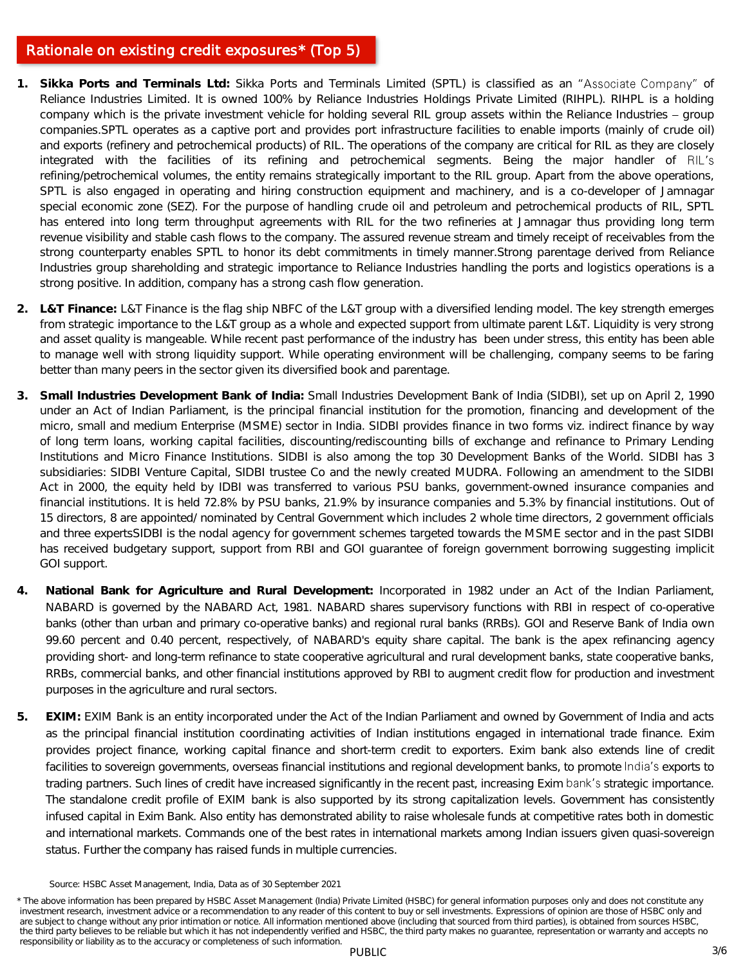# Rationale on existing credit exposures\* (Top 5)

- 1. Sikka Ports and Terminals Ltd: Sikka Ports and Terminals Limited (SPTL) is classified as an "Associate Company" of Reliance Industries Limited. It is owned 100% by Reliance Industries Holdings Private Limited (RIHPL). RIHPL is a holding company which is the private investment vehicle for holding several RIL group assets within the Reliance Industries - group companies.SPTL operates as a captive port and provides port infrastructure facilities to enable imports (mainly of crude oil) and exports (refinery and petrochemical products) of RIL. The operations of the company are critical for RIL as they are closely integrated with the facilities of its refining and petrochemical segments. Being the major handler of RIL's refining/petrochemical volumes, the entity remains strategically important to the RIL group. Apart from the above operations, SPTL is also engaged in operating and hiring construction equipment and machinery, and is a co-developer of Jamnagar special economic zone (SEZ). For the purpose of handling crude oil and petroleum and petrochemical products of RIL, SPTL has entered into long term throughput agreements with RIL for the two refineries at Jamnagar thus providing long term revenue visibility and stable cash flows to the company. The assured revenue stream and timely receipt of receivables from the strong counterparty enables SPTL to honor its debt commitments in timely manner.Strong parentage derived from Reliance Industries group shareholding and strategic importance to Reliance Industries handling the ports and logistics operations is a strong positive. In addition, company has a strong cash flow generation.
- **2. L&T Finance:** L&T Finance is the flag ship NBFC of the L&T group with a diversified lending model. The key strength emerges from strategic importance to the L&T group as a whole and expected support from ultimate parent L&T. Liquidity is very strong and asset quality is mangeable. While recent past performance of the industry has been under stress, this entity has been able to manage well with strong liquidity support. While operating environment will be challenging, company seems to be faring better than many peers in the sector given its diversified book and parentage.
- **3. Small Industries Development Bank of India:** Small Industries Development Bank of India (SIDBI), set up on April 2, 1990 under an Act of Indian Parliament, is the principal financial institution for the promotion, financing and development of the micro, small and medium Enterprise (MSME) sector in India. SIDBI provides finance in two forms viz. indirect finance by way of long term loans, working capital facilities, discounting/rediscounting bills of exchange and refinance to Primary Lending Institutions and Micro Finance Institutions. SIDBI is also among the top 30 Development Banks of the World. SIDBI has 3 subsidiaries: SIDBI Venture Capital, SIDBI trustee Co and the newly created MUDRA. Following an amendment to the SIDBI Act in 2000, the equity held by IDBI was transferred to various PSU banks, government-owned insurance companies and financial institutions. It is held 72.8% by PSU banks, 21.9% by insurance companies and 5.3% by financial institutions. Out of 15 directors, 8 are appointed/ nominated by Central Government which includes 2 whole time directors, 2 government officials and three expertsSIDBI is the nodal agency for government schemes targeted towards the MSME sector and in the past SIDBI has received budgetary support, support from RBI and GOI guarantee of foreign government borrowing suggesting implicit GOI support.
- **4. National Bank for Agriculture and Rural Development:** Incorporated in 1982 under an Act of the Indian Parliament, NABARD is governed by the NABARD Act, 1981. NABARD shares supervisory functions with RBI in respect of co-operative banks (other than urban and primary co-operative banks) and regional rural banks (RRBs). GOI and Reserve Bank of India own 99.60 percent and 0.40 percent, respectively, of NABARD's equity share capital. The bank is the apex refinancing agency providing short- and long-term refinance to state cooperative agricultural and rural development banks, state cooperative banks, RRBs, commercial banks, and other financial institutions approved by RBI to augment credit flow for production and investment purposes in the agriculture and rural sectors.
- **5. EXIM:** EXIM Bank is an entity incorporated under the Act of the Indian Parliament and owned by Government of India and acts as the principal financial institution coordinating activities of Indian institutions engaged in international trade finance. Exim provides project finance, working capital finance and short-term credit to exporters. Exim bank also extends line of credit facilities to sovereign governments, overseas financial institutions and regional development banks, to promote India's exports to trading partners. Such lines of credit have increased significantly in the recent past, increasing Exim bank's strategic importance. The standalone credit profile of EXIM bank is also supported by its strong capitalization levels. Government has consistently infused capital in Exim Bank. Also entity has demonstrated ability to raise wholesale funds at competitive rates both in domestic and international markets. Commands one of the best rates in international markets among Indian issuers given quasi-sovereign status. Further the company has raised funds in multiple currencies.

Source: HSBC Asset Management, India, Data as of 30 September 2021

PUBLIC 3/6 \* The above information has been prepared by HSBC Asset Management (India) Private Limited (HSBC) for general information purposes only and does not constitute any investment research, investment advice or a recommendation to any reader of this content to buy or sell investments. Expressions of opinion are those of HSBC only and are subject to change without any prior intimation or notice. All information mentioned above (including that sourced from third parties), is obtained from sources HSBC, the third party believes to be reliable but which it has not independently verified and HSBC, the third party makes no guarantee, representation or warranty and accepts no responsibility or liability as to the accuracy or completeness of such information.